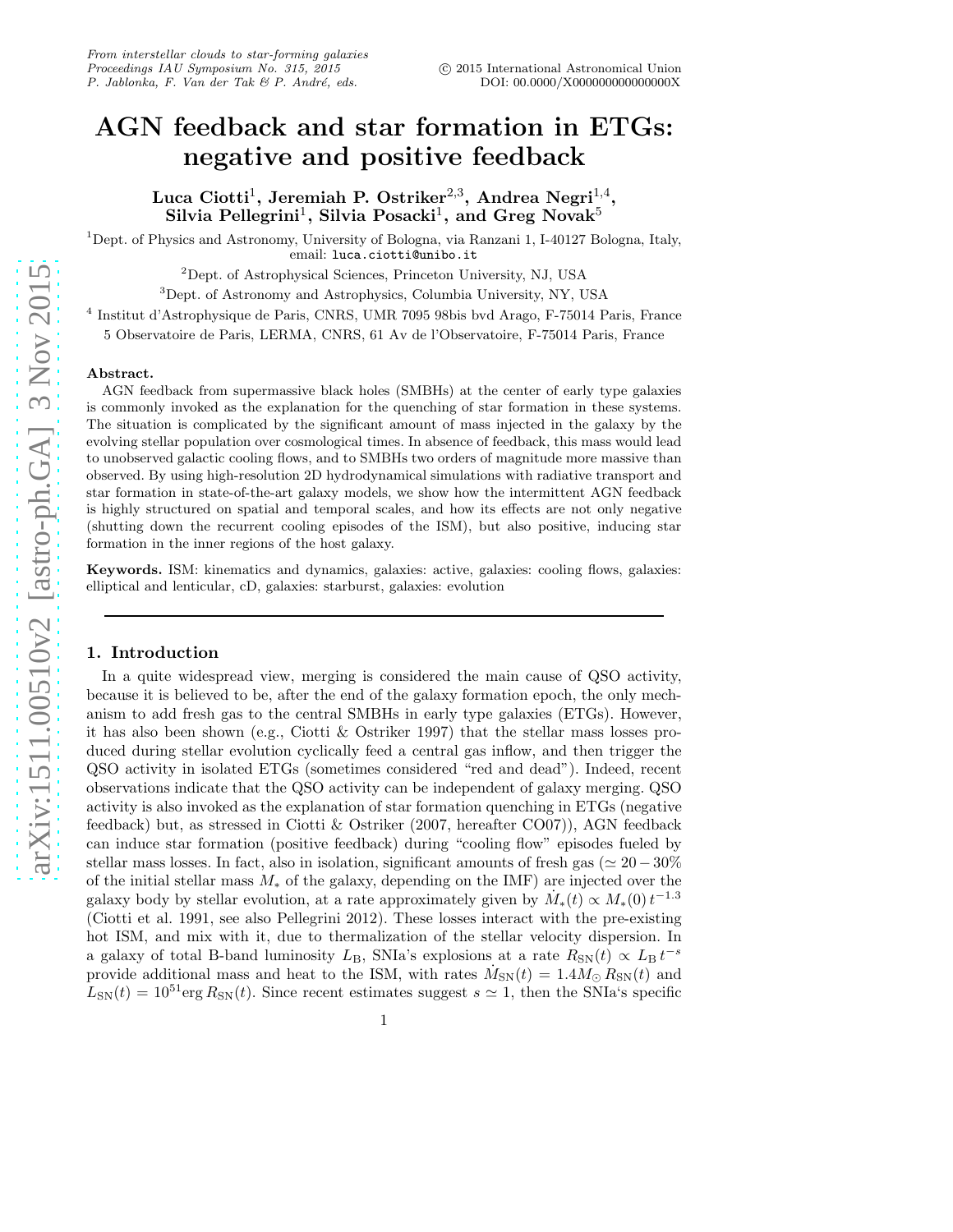# AGN feedback and star formation in ETGs: negative and positive feedback

Luca Ciotti<sup>1</sup>, Jeremiah P. Ostriker $^{2,3}$ , Andrea Negri $^{1,4}$ , Silvia Pellegrini<sup>1</sup>, Silvia Posacki<sup>1</sup>, and Greg Novak $^5$ 

 $1$ Dept. of Physics and Astronomy, University of Bologna, via Ranzani 1, I-40127 Bologna, Italy, email: luca.ciotti@unibo.it

<sup>2</sup>Dept. of Astrophysical Sciences, Princeton University, NJ, USA

<sup>3</sup>Dept. of Astronomy and Astrophysics, Columbia University, NY, USA

4 Institut d'Astrophysique de Paris, CNRS, UMR 7095 98bis bvd Arago, F-75014 Paris, France

5 Observatoire de Paris, LERMA, CNRS, 61 Av de l'Observatoire, F-75014 Paris, France

#### Abstract.

AGN feedback from supermassive black holes (SMBHs) at the center of early type galaxies is commonly invoked as the explanation for the quenching of star formation in these systems. The situation is complicated by the significant amount of mass injected in the galaxy by the evolving stellar population over cosmological times. In absence of feedback, this mass would lead to unobserved galactic cooling flows, and to SMBHs two orders of magnitude more massive than observed. By using high-resolution 2D hydrodynamical simulations with radiative transport and star formation in state-of-the-art galaxy models, we show how the intermittent AGN feedback is highly structured on spatial and temporal scales, and how its effects are not only negative (shutting down the recurrent cooling episodes of the ISM), but also positive, inducing star formation in the inner regions of the host galaxy.

Keywords. ISM: kinematics and dynamics, galaxies: active, galaxies: cooling flows, galaxies: elliptical and lenticular, cD, galaxies: starburst, galaxies: evolution

## 1. Introduction

In a quite widespread view, merging is considered the main cause of QSO activity, because it is believed to be, after the end of the galaxy formation epoch, the only mechanism to add fresh gas to the central SMBHs in early type galaxies (ETGs). However, it has also been shown (e.g., Ciotti & Ostriker 1997) that the stellar mass losses produced during stellar evolution cyclically feed a central gas inflow, and then trigger the QSO activity in isolated ETGs (sometimes considered "red and dead"). Indeed, recent observations indicate that the QSO activity can be independent of galaxy merging. QSO activity is also invoked as the explanation of star formation quenching in ETGs (negative feedback) but, as stressed in Ciotti & Ostriker (2007, hereafter CO07)), AGN feedback can induce star formation (positive feedback) during "cooling flow" episodes fueled by stellar mass losses. In fact, also in isolation, significant amounts of fresh gas ( $\simeq 20-30\%$ ) of the initial stellar mass  $M_*$  of the galaxy, depending on the IMF) are injected over the galaxy body by stellar evolution, at a rate approximately given by  $\dot{M}_*(t) \propto M_*(0) t^{-1.3}$ (Ciotti et al. 1991, see also Pellegrini 2012). These losses interact with the pre-existing hot ISM, and mix with it, due to thermalization of the stellar velocity dispersion. In a galaxy of total B-band luminosity  $L_{\text{B}}$ , SNIa's explosions at a rate  $R_{\text{SN}}(t) \propto L_{\text{B}} t^{-s}$ provide additional mass and heat to the ISM, with rates  $\dot{M}_{\rm SN}(t) = 1.4 M_{\odot} R_{\rm SN}(t)$  and  $L_{SN}(t) = 10^{51} \text{erg } R_{SN}(t)$ . Since recent estimates suggest  $s \simeq 1$ , then the SNIa's specific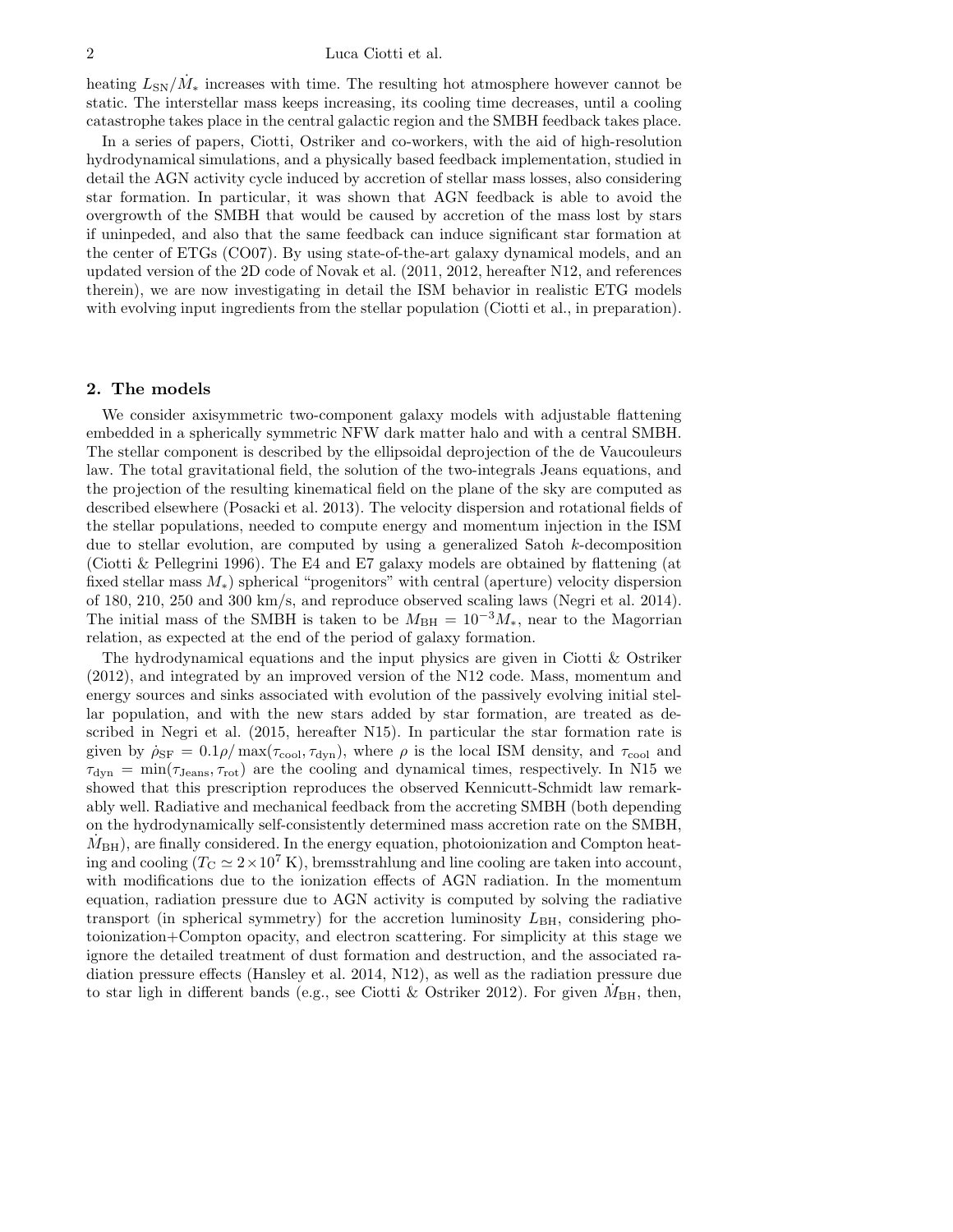#### 2 Luca Ciotti et al.

heating  $L_{SN}/\dot{M}_{*}$  increases with time. The resulting hot atmosphere however cannot be static. The interstellar mass keeps increasing, its cooling time decreases, until a cooling catastrophe takes place in the central galactic region and the SMBH feedback takes place.

In a series of papers, Ciotti, Ostriker and co-workers, with the aid of high-resolution hydrodynamical simulations, and a physically based feedback implementation, studied in detail the AGN activity cycle induced by accretion of stellar mass losses, also considering star formation. In particular, it was shown that AGN feedback is able to avoid the overgrowth of the SMBH that would be caused by accretion of the mass lost by stars if uninpeded, and also that the same feedback can induce significant star formation at the center of ETGs (CO07). By using state-of-the-art galaxy dynamical models, and an updated version of the 2D code of Novak et al. (2011, 2012, hereafter N12, and references therein), we are now investigating in detail the ISM behavior in realistic ETG models with evolving input ingredients from the stellar population (Ciotti et al., in preparation).

### 2. The models

We consider axisymmetric two-component galaxy models with adjustable flattening embedded in a spherically symmetric NFW dark matter halo and with a central SMBH. The stellar component is described by the ellipsoidal deprojection of the de Vaucouleurs law. The total gravitational field, the solution of the two-integrals Jeans equations, and the projection of the resulting kinematical field on the plane of the sky are computed as described elsewhere (Posacki et al. 2013). The velocity dispersion and rotational fields of the stellar populations, needed to compute energy and momentum injection in the ISM due to stellar evolution, are computed by using a generalized Satoh k-decomposition (Ciotti  $\&$  Pellegrini 1996). The E4 and E7 galaxy models are obtained by flattening (at fixed stellar mass M∗) spherical "progenitors" with central (aperture) velocity dispersion of 180, 210, 250 and 300 km/s, and reproduce observed scaling laws (Negri et al. 2014). The initial mass of the SMBH is taken to be  $M_{\text{BH}} = 10^{-3} M_*$ , near to the Magorrian relation, as expected at the end of the period of galaxy formation.

The hydrodynamical equations and the input physics are given in Ciotti & Ostriker (2012), and integrated by an improved version of the N12 code. Mass, momentum and energy sources and sinks associated with evolution of the passively evolving initial stellar population, and with the new stars added by star formation, are treated as described in Negri et al. (2015, hereafter N15). In particular the star formation rate is given by  $\dot{\rho}_{SF} = 0.1 \rho / \text{max}(\tau_{cool}, \tau_{dyn})$ , where  $\rho$  is the local ISM density, and  $\tau_{cool}$  and  $\tau_{dyn} = \min(\tau_{Jeans}, \tau_{rot})$  are the cooling and dynamical times, respectively. In N15 we showed that this prescription reproduces the observed Kennicutt-Schmidt law remarkably well. Radiative and mechanical feedback from the accreting SMBH (both depending on the hydrodynamically self-consistently determined mass accretion rate on the SMBH,  $M_{\rm BH}$ ), are finally considered. In the energy equation, photoionization and Compton heating and cooling ( $T_{\rm C} \simeq 2 \times 10^7 \,\rm K$ ), bremsstrahlung and line cooling are taken into account, with modifications due to the ionization effects of AGN radiation. In the momentum equation, radiation pressure due to AGN activity is computed by solving the radiative transport (in spherical symmetry) for the accretion luminosity  $L_{BH}$ , considering photoionization+Compton opacity, and electron scattering. For simplicity at this stage we ignore the detailed treatment of dust formation and destruction, and the associated radiation pressure effects (Hansley et al. 2014, N12), as well as the radiation pressure due to star ligh in different bands (e.g., see Ciotti & Ostriker 2012). For given  $\dot{M}_{\rm BH}$ , then,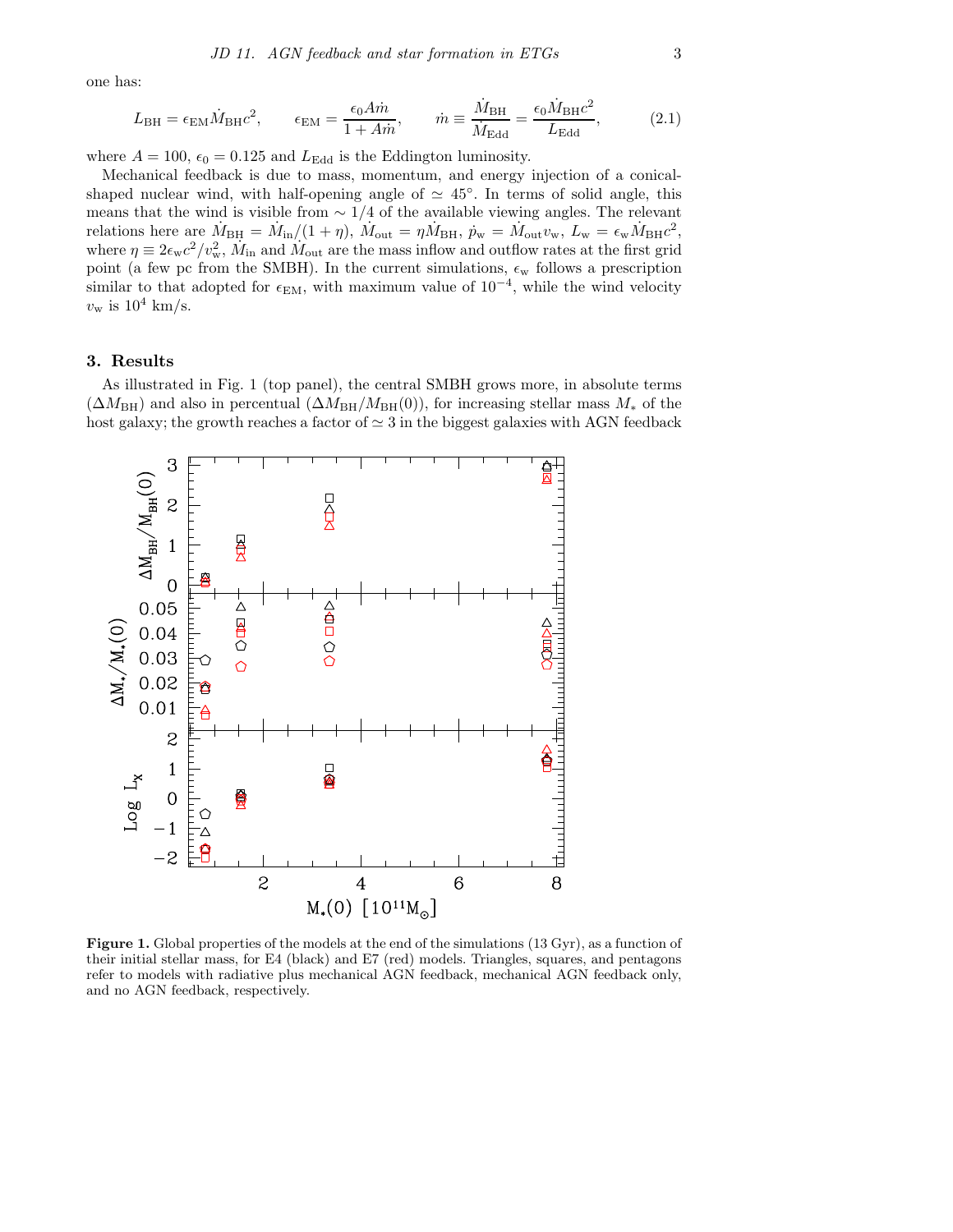one has:

$$
L_{\rm BH} = \epsilon_{\rm EM} \dot{M}_{\rm BH} c^2, \qquad \epsilon_{\rm EM} = \frac{\epsilon_0 A \dot{m}}{1 + A \dot{m}}, \qquad \dot{m} \equiv \frac{\dot{M}_{\rm BH}}{\dot{M}_{\rm Edd}} = \frac{\epsilon_0 \dot{M}_{\rm BH} c^2}{L_{\rm Edd}}, \tag{2.1}
$$

where  $A = 100$ ,  $\epsilon_0 = 0.125$  and  $L_{\text{Edd}}$  is the Eddington luminosity.

Mechanical feedback is due to mass, momentum, and energy injection of a conicalshaped nuclear wind, with half-opening angle of  $\simeq 45^{\circ}$ . In terms of solid angle, this means that the wind is visible from  $\sim 1/4$  of the available viewing angles. The relevant relations here are  $\dot{M}_{\text{BH}} = \dot{M}_{\text{in}}/(1+\eta)$ ,  $\dot{M}_{\text{out}} = \eta \dot{M}_{\text{BH}}$ ,  $\dot{p}_{\text{w}} = \dot{M}_{\text{out}} v_{\text{w}}$ ,  $L_{\text{w}} = \epsilon_{\text{w}} \dot{M}_{\text{BH}} c^2$ , where  $\eta \equiv 2\epsilon_w c^2/v_w^2$ ,  $\dot{M}_{\rm in}$  and  $\dot{M}_{\rm out}$  are the mass inflow and outflow rates at the first grid point (a few pc from the SMBH). In the current simulations,  $\epsilon_{w}$  follows a prescription similar to that adopted for  $\epsilon_{EM}$ , with maximum value of  $10^{-4}$ , while the wind velocity  $v_{\rm w}$  is  $10^4$  km/s.

# 3. Results

As illustrated in Fig. 1 (top panel), the central SMBH grows more, in absolute terms  $(\Delta M_{\rm BH})$  and also in percentual  $(\Delta M_{\rm BH}/M_{\rm BH}(0))$ , for increasing stellar mass  $M_*$  of the host galaxy; the growth reaches a factor of  $\simeq 3$  in the biggest galaxies with AGN feedback



Figure 1. Global properties of the models at the end of the simulations (13 Gyr), as a function of their initial stellar mass, for E4 (black) and E7 (red) models. Triangles, squares, and pentagons refer to models with radiative plus mechanical AGN feedback, mechanical AGN feedback only, and no AGN feedback, respectively.